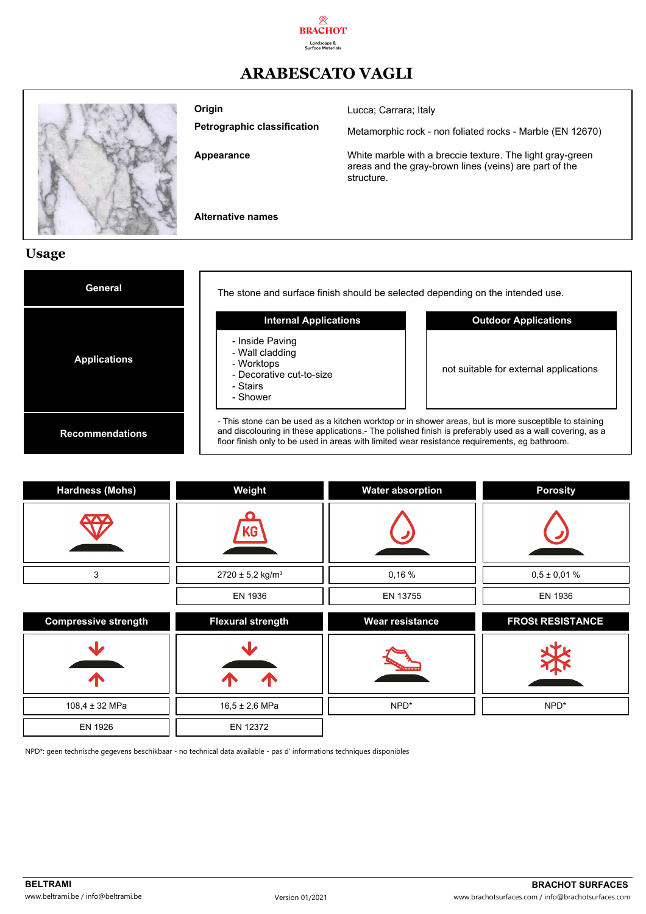

## **ARABESCATO VAGLI**



**Origin**

**Petrographic classification**

**Appearance**

Lucca; Carrara; Italy

Metamorphic rock - non foliated rocks - Marble (EN 12670)

White marble with a breccie texture. The light gray-green areas and the gray-brown lines (veins) are part of the structure.

**Alternative names**

### **Usage**

| General                | The stone and surface finish should be selected depending on the intended use.                                                                                                                                                                                                                                     |                                        |  |
|------------------------|--------------------------------------------------------------------------------------------------------------------------------------------------------------------------------------------------------------------------------------------------------------------------------------------------------------------|----------------------------------------|--|
|                        | <b>Internal Applications</b>                                                                                                                                                                                                                                                                                       | <b>Outdoor Applications</b>            |  |
| <b>Applications</b>    | - Inside Paving<br>- Wall cladding<br>- Worktops<br>- Decorative cut-to-size<br>- Stairs<br>- Shower                                                                                                                                                                                                               | not suitable for external applications |  |
| <b>Recommendations</b> | - This stone can be used as a kitchen worktop or in shower areas, but is more susceptible to staining<br>and discolouring in these applications.- The polished finish is preferably used as a wall covering, as a<br>floor finish only to be used in areas with limited wear resistance requirements, eg bathroom. |                                        |  |

| <b>Hardness (Mohs)</b>      | Weight                       | <b>Water absorption</b> | <b>Porosity</b>         |
|-----------------------------|------------------------------|-------------------------|-------------------------|
|                             | KG                           |                         |                         |
| 3                           | 2720 ± 5,2 kg/m <sup>3</sup> | 0,16%                   | $0,5 \pm 0,01$ %        |
|                             | EN 1936                      | EN 13755                | EN 1936                 |
| <b>Compressive strength</b> | <b>Flexural strength</b>     | <b>Wear resistance</b>  | <b>FROSt RESISTANCE</b> |
| Л                           | Л                            |                         |                         |
| 108,4 ± 32 MPa              | $16,5 \pm 2,6$ MPa           | NPD*                    | NPD*                    |
|                             |                              |                         |                         |

NPD\*: geen technische gegevens beschikbaar - no technical data available - pas d' informations techniques disponibles